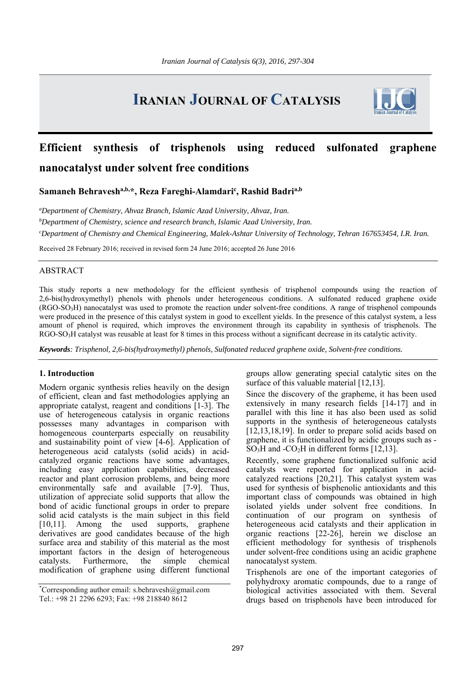# **IRANIAN JOURNAL OF CATALYSIS**



## **Efficient synthesis of trisphenols using reduced sulfonated graphene nanocatalyst under solvent free conditions**

Samaneh Behravesh<sup>a,b,\*</sup>, Reza Fareghi-Alamdari<sup>c</sup>, Rashid Badri<sup>a,b</sup>

*a Department of Chemistry, Ahvaz Branch, Islamic Azad University, Ahvaz, Iran. b Department of Chemistry, science and research branch, Islamic Azad University, Iran. c Department of Chemistry and Chemical Engineering, Malek-Ashtar University of Technology, Tehran 167653454, I.R. Iran.* 

Received 28 February 2016; received in revised form 24 June 2016; accepted 26 June 2016

## ABSTRACT

This study reports a new methodology for the efficient synthesis of trisphenol compounds using the reaction of 2,6-bis(hydroxymethyl) phenols with phenols under heterogeneous conditions. A sulfonated reduced graphene oxide  $(RGO-SO<sub>3</sub>H)$  nanocatalyst was used to promote the reaction under solvent-free conditions. A range of trisphenol compounds were produced in the presence of this catalyst system in good to excellent yields. In the presence of this catalyst system, a less amount of phenol is required, which improves the environment through its capability in synthesis of trisphenols. The RGO-SO3H catalyst was reusable at least for 8 times in this process without a significant decrease in its catalytic activity.

*Keywords: Trisphenol, 2,6-bis(hydroxymethyl) phenols, Sulfonated reduced graphene oxide, Solvent-free conditions.* 

## **1. Introduction**

Modern organic synthesis relies heavily on the design of efficient, clean and fast methodologies applying an appropriate catalyst, reagent and conditions [1-3]. The use of heterogeneous catalysis in organic reactions possesses many advantages in comparison with homogeneous counterparts especially on reusability and sustainability point of view [4-6]. Application of heterogeneous acid catalysts (solid acids) in acidcatalyzed organic reactions have some advantages, including easy application capabilities, decreased reactor and plant corrosion problems, and being more environmentally safe and available [7-9]. Thus, utilization of appreciate solid supports that allow the bond of acidic functional groups in order to prepare solid acid catalysts is the main subject in this field [10,11]. Among the used supports, graphene derivatives are good candidates because of the high surface area and stability of this material as the most important factors in the design of heterogeneous catalysts. Furthermore, the simple chemical modification of graphene using different functional

groups allow generating special catalytic sites on the surface of this valuable material [12,13].

Since the discovery of the grapheme, it has been used extensively in many research fields [14-17] and in parallel with this line it has also been used as solid supports in the synthesis of heterogeneous catalysts [12,13,18,19]. In order to prepare solid acids based on graphene, it is functionalized by acidic groups such as - SO<sub>3</sub>H and -CO<sub>2</sub>H in different forms [12,13].

Recently, some graphene functionalized sulfonic acid catalysts were reported for application in acidcatalyzed reactions [20,21]. This catalyst system was used for synthesis of bisphenolic antioxidants and this important class of compounds was obtained in high isolated yields under solvent free conditions. In continuation of our program on synthesis of heterogeneous acid catalysts and their application in organic reactions [22-26], herein we disclose an efficient methodology for synthesis of trisphenols under solvent-free conditions using an acidic graphene nanocatalyst system.

Trisphenols are one of the important categories of polyhydroxy aromatic compounds, due to a range of biological activities associated with them. Several drugs based on trisphenols have been introduced for

<sup>\*</sup> Corresponding author email: s.behravesh@gmail.com Tel.: +98 21 2296 6293; Fax: +98 218840 8612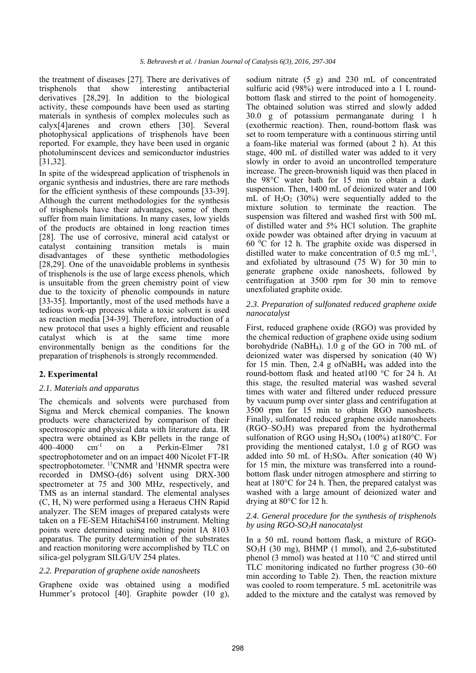the treatment of diseases [27]. There are derivatives of trisphenols that show interesting antibacterial derivatives [28,29]. In addition to the biological activity, these compounds have been used as starting materials in synthesis of complex molecules such as calyx[4]arenes and crown ethers [30]. Several photophysical applications of trisphenols have been reported. For example, they have been used in organic photoluminscent devices and semiconductor industries [31,32].

In spite of the widespread application of trisphenols in organic synthesis and industries, there are rare methods for the efficient synthesis of these compounds [33-39]. Although the current methodologies for the synthesis of trisphenols have their advantages, some of them suffer from main limitations. In many cases, low yields of the products are obtained in long reaction times [28]. The use of corrosive, mineral acid catalyst or catalyst containing transition metals is main disadvantages of these synthetic methodologies [28,29]. One of the unavoidable problems in synthesis of trisphenols is the use of large excess phenols, which is unsuitable from the green chemistry point of view due to the toxicity of phenolic compounds in nature [33-35]. Importantly, most of the used methods have a tedious work-up process while a toxic solvent is used as reaction media [34-39]. Therefore, introduction of a new protocol that uses a highly efficient and reusable catalyst which is at the same time more environmentally benign as the conditions for the preparation of trisphenols is strongly recommended.

## **2. Experimental**

#### *2.1. Materials and apparatus*

The chemicals and solvents were purchased from Sigma and Merck chemical companies. The known products were characterized by comparison of their spectroscopic and physical data with literature data. IR spectra were obtained as KBr pellets in the range of 400–4000 cm<sup>-1</sup> on a Perkin-Elmer 781 400–4000 cm-1 on a Perkin-Elmer 781 spectrophotometer and on an impact 400 Nicolet FT-IR spectrophotometer. <sup>13</sup>CNMR and <sup>1</sup>HNMR spectra were recorded in DMSO-(d6) solvent using DRX-300 spectrometer at 75 and 300 MHz, respectively, and TMS as an internal standard. The elemental analyses (C, H, N) were performed using a Heraeus CHN Rapid analyzer. The SEM images of prepared catalysts were taken on a FE-SEM HitachiS4160 instrument. Melting points were determined using melting point IA 8103 apparatus. The purity determination of the substrates and reaction monitoring were accomplished by TLC on silica-gel polygram SILG/UV 254 plates.

## *2.2. Preparation of graphene oxide nanosheets*

Graphene oxide was obtained using a modified Hummer's protocol [40]. Graphite powder (10 g), sodium nitrate (5 g) and 230 mL of concentrated sulfuric acid (98%) were introduced into a 1 L roundbottom flask and stirred to the point of homogeneity. The obtained solution was stirred and slowly added 30.0 g of potassium permanganate during 1 h (exothermic reaction). Then, round-bottom flask was set to room temperature with a continuous stirring until a foam-like material was formed (about 2 h). At this stage, 400 mL of distilled water was added to it very slowly in order to avoid an uncontrolled temperature increase. The green-brownish liquid was then placed in the 98°C water bath for 15 min to obtain a dark suspension. Then, 1400 mL of deionized water and 100 mL of  $H_2O_2$  (30%) were sequentially added to the mixture solution to terminate the reaction. The suspension was filtered and washed first with 500 mL of distilled water and 5% HCl solution. The graphite oxide powder was obtained after drying in vacuum at 60 0 C for 12 h. The graphite oxide was dispersed in distilled water to make concentration of 0.5 mg  $mL^{-1}$ , and exfoliated by ultrasound (75 W) for 30 min to generate graphene oxide nanosheets, followed by centrifugation at 3500 rpm for 30 min to remove unexfoliated graphite oxide.

#### *2.3. Preparation of sulfonated reduced graphene oxide nanocatalyst*

First, reduced graphene oxide (RGO) was provided by the chemical reduction of graphene oxide using sodium borohydride (NaBH4). 1.0 g of the GO in 700 mL of deionized water was dispersed by sonication (40 W) for 15 min. Then, 2.4 g ofNaBH4 was added into the round-bottom flask and heated at100 °C for 24 h. At this stage, the resulted material was washed several times with water and filtered under reduced pressure by vacuum pump over sinter glass and centrifugation at 3500 rpm for 15 min to obtain RGO nanosheets. Finally, sulfonated reduced graphene oxide nanosheets (RGO–SO3H) was prepared from the hydrothermal sulfonation of RGO using  $H_2SO_4$  (100%) at 180 °C. For providing the mentioned catalyst, 1.0 g of RGO was added into 50 mL of  $H_2SO_4$ . After sonication (40 W) for 15 min, the mixture was transferred into a roundbottom flask under nitrogen atmosphere and stirring to heat at 180°C for 24 h. Then, the prepared catalyst was washed with a large amount of deionized water and drying at 80°C for 12 h.

#### *2.4. General procedure for the synthesis of trisphenols by using RGO-SO3H nanocatalyst*

In a 50 mL round bottom flask, a mixture of RGO-SO3H (30 mg), BHMP (1 mmol), and 2,6-substituted phenol (3 mmol) was heated at 110 °C and stirred until TLC monitoring indicated no further progress (30–60 min according to Table 2). Then, the reaction mixture was cooled to room temperature. 5 mL acetonitrile was added to the mixture and the catalyst was removed by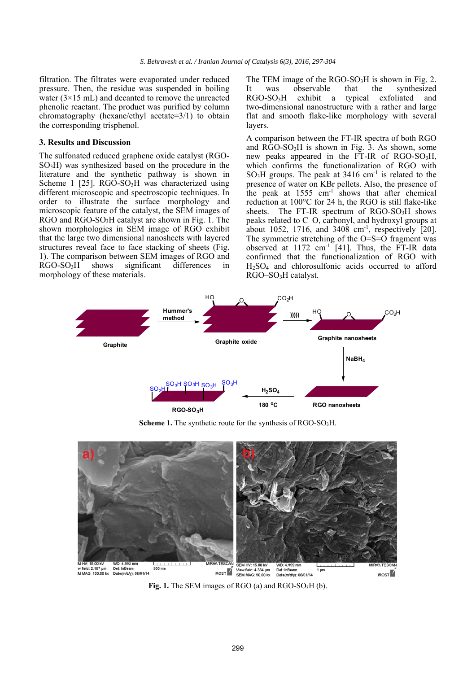filtration. The filtrates were evaporated under reduced pressure. Then, the residue was suspended in boiling water  $(3\times15$  mL) and decanted to remove the unreacted phenolic reactant. The product was purified by column chromatography (hexane/ethyl acetate=3/1) to obtain the corresponding trisphenol.

#### **3. Results and Discussion**

The sulfonated reduced graphene oxide catalyst (RGO- $SO<sub>3</sub>H$ ) was synthesized based on the procedure in the literature and the synthetic pathway is shown in Scheme 1  $[25]$ . RGO-SO<sub>3</sub>H was characterized using different microscopic and spectroscopic techniques. In order to illustrate the surface morphology and microscopic feature of the catalyst, the SEM images of RGO and RGO-SO3H catalyst are shown in Fig. 1. The shown morphologies in SEM image of RGO exhibit that the large two dimensional nanosheets with layered structures reveal face to face stacking of sheets (Fig. 1). The comparison between SEM images of RGO and RGO-SO3H shows significant differences in morphology of these materials.

The TEM image of the  $RGO-SO<sub>3</sub>H$  is shown in Fig. 2. It was observable that the synthesized RGO-SO3H exhibit a typical exfoliated and two-dimensional nanostructure with a rather and large flat and smooth flake-like morphology with several layers.

A comparison between the FT-IR spectra of both RGO and RGO-SO3H is shown in Fig. 3. As shown, some new peaks appeared in the FT-IR of RGO-SO<sub>3</sub>H, which confirms the functionalization of RGO with  $SO<sub>3</sub>H$  groups. The peak at 3416 cm<sup>-1</sup> is related to the presence of water on KBr pellets. Also, the presence of the peak at  $1555 \text{ cm}^{-1}$  shows that after chemical reduction at 100°C for 24 h, the RGO is still flake-like sheets. The FT-IR spectrum of  $RGO-SO<sub>3</sub>H$  shows peaks related to C–O, carbonyl, and hydroxyl groups at about 1052, 1716, and 3408  $cm^{-1}$ , respectively [20]. The symmetric stretching of the O=S=O fragment was observed at  $1172 \text{ cm}^{-1}$  [41]. Thus, the FT-IR data confirmed that the functionalization of RGO with H2SO4 and chlorosulfonic acids occurred to afford RGO–SO3H catalyst.



Scheme 1. The synthetic route for the synthesis of RGO-SO<sub>3</sub>H.



**Fig. 1.** The SEM images of RGO (a) and RGO-SO<sub>3</sub>H (b).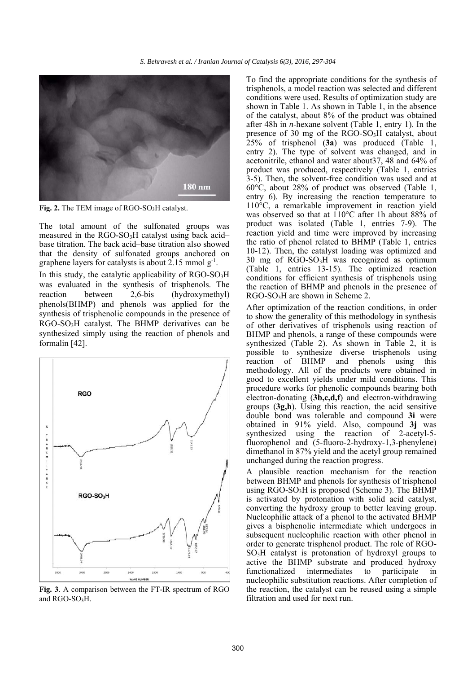

Fig. 2. The TEM image of RGO-SO<sub>3</sub>H catalyst.

The total amount of the sulfonated groups was measured in the  $RGO-SO<sub>3</sub>H$  catalyst using back acid– base titration. The back acid–base titration also showed that the density of sulfonated groups anchored on graphene layers for catalysts is about 2.15 mmol  $g^{-1}$ .

In this study, the catalytic applicability of RGO-SO3H was evaluated in the synthesis of trisphenols. The reaction between 2,6-bis (hydroxymethyl) phenols(BHMP) and phenols was applied for the synthesis of trisphenolic compounds in the presence of RGO-SO3H catalyst. The BHMP derivatives can be synthesized simply using the reaction of phenols and formalin [42].



**Fig. 3**. A comparison between the FT-IR spectrum of RGO and RGO-SO<sub>3</sub>H.

To find the appropriate conditions for the synthesis of trisphenols, a model reaction was selected and different conditions were used. Results of optimization study are shown in Table 1. As shown in Table 1, in the absence of the catalyst, about 8% of the product was obtained after 48h in *n*-hexane solvent (Table 1, entry 1). In the presence of 30 mg of the RGO-SO3H catalyst, about 25% of trisphenol (**3a**) was produced (Table 1, entry 2). The type of solvent was changed, and in acetonitrile, ethanol and water about37, 48 and 64% of product was produced, respectively (Table 1, entries 3-5). Then, the solvent-free condition was used and at 60°C, about 28% of product was observed (Table 1, entry 6). By increasing the reaction temperature to 110°C, a remarkable improvement in reaction yield was observed so that at 110°C after 1h about 88% of product was isolated (Table 1, entries 7-9). The reaction yield and time were improved by increasing the ratio of phenol related to BHMP (Table 1, entries 10-12). Then, the catalyst loading was optimized and 30 mg of RGO-SO3H was recognized as optimum (Table 1, entries 13-15). The optimized reaction conditions for efficient synthesis of trisphenols using the reaction of BHMP and phenols in the presence of RGO-SO<sub>3</sub>H are shown in Scheme 2.

After optimization of the reaction conditions, in order to show the generality of this methodology in synthesis of other derivatives of trisphenols using reaction of BHMP and phenols, a range of these compounds were synthesized (Table 2). As shown in Table 2, it is possible to synthesize diverse trisphenols using reaction of BHMP and phenols using this methodology. All of the products were obtained in good to excellent yields under mild conditions. This procedure works for phenolic compounds bearing both electron-donating (**3b,c,d,f**) and electron-withdrawing groups (**3g,h**). Using this reaction, the acid sensitive double bond was tolerable and compound **3i** were obtained in 91% yield. Also, compound **3j** was synthesized using the reaction of 2-acetyl-5 fluorophenol and (5-fluoro-2-hydroxy-1,3-phenylene) dimethanol in 87% yield and the acetyl group remained unchanged during the reaction progress.

A plausible reaction mechanism for the reaction between BHMP and phenols for synthesis of trisphenol using  $RGO-SO<sub>3</sub>H$  is proposed (Scheme 3). The BHMP is activated by protonation with solid acid catalyst, converting the hydroxy group to better leaving group. Nucleophilic attack of a phenol to the activated BHMP gives a bisphenolic intermediate which undergoes in subsequent nucleophilic reaction with other phenol in order to generate trisphenol product. The role of RGO-SO3H catalyst is protonation of hydroxyl groups to active the BHMP substrate and produced hydroxy functionalized intermediates to participate in nucleophilic substitution reactions. After completion of the reaction, the catalyst can be reused using a simple filtration and used for next run.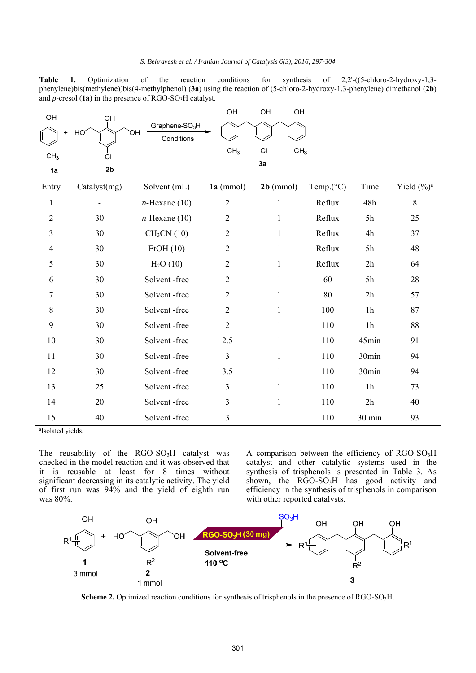#### *S. Behravesh et al. / Iranian Journal of Catalysis 6(3), 2016, 297-304*

Table 1. Optimization of the reaction conditions for synthesis of 2,2'-((5-chloro-2-hydroxy-1,3phenylene)bis(methylene))bis(4-methylphenol) (**3a**) using the reaction of (5-chloro-2-hydroxy-1,3-phenylene) dimethanol (**2b**) and *p*-cresol (1a) in the presence of RGO-SO<sub>3</sub>H catalyst.

| OH<br>$+$<br>CH <sub>3</sub><br>1a | OH<br>HO<br>СI<br>2 <sub>b</sub> | Graphene-SO <sub>3</sub> H<br>ЮH<br>Conditions | OH<br>CH <sub>3</sub> | OH<br>OH<br>ĊI<br>CH <sub>3</sub><br>3a |                     |                  |                |
|------------------------------------|----------------------------------|------------------------------------------------|-----------------------|-----------------------------------------|---------------------|------------------|----------------|
| Entry                              | Catalyst(mg)                     | Solvent (mL)                                   | $1a$ (mmol)           | $2b$ (mmol)                             | Temp. $(^{\circ}C)$ | Time             | Yield $(\%)^a$ |
| $\mathbf{1}$                       |                                  | $n$ -Hexane (10)                               | $\overline{2}$        | 1                                       | Reflux              | 48h              | $\,8\,$        |
| $\mathfrak{2}$                     | 30                               | $n$ -Hexane (10)                               | $\overline{2}$        | 1                                       | Reflux              | 5h               | 25             |
| 3                                  | 30                               | CH <sub>3</sub> CN(10)                         | $\overline{2}$        | 1                                       | Reflux              | 4h               | 37             |
| $\overline{4}$                     | 30                               | EtOH(10)                                       | $\overline{2}$        | $\mathbf{1}$                            | Reflux              | 5h               | 48             |
| 5                                  | 30                               | H <sub>2</sub> O(10)                           | $\overline{2}$        | $\mathbf{1}$                            | Reflux              | 2h               | 64             |
| 6                                  | 30                               | Solvent-free                                   | $\overline{2}$        | $\mathbf{1}$                            | 60                  | 5h               | 28             |
| 7                                  | 30                               | Solvent-free                                   | $\overline{2}$        | $\mathbf{1}$                            | 80                  | 2h               | 57             |
| 8                                  | 30                               | Solvent-free                                   | $\overline{2}$        | 1                                       | 100                 | 1 <sub>h</sub>   | 87             |
| 9                                  | 30                               | Solvent-free                                   | $\overline{2}$        | $\mathbf{1}$                            | 110                 | 1 <sub>h</sub>   | 88             |
| 10                                 | 30                               | Solvent-free                                   | 2.5                   | 1                                       | 110                 | 45min            | 91             |
| 11                                 | 30                               | Solvent-free                                   | $\overline{3}$        | $\mathbf{1}$                            | 110                 | 30min            | 94             |
| 12                                 | 30                               | Solvent-free                                   | 3.5                   | $\mathbf{1}$                            | 110                 | 30min            | 94             |
| 13                                 | 25                               | Solvent-free                                   | 3                     | 1                                       | 110                 | 1 <sub>h</sub>   | 73             |
| 14                                 | 20                               | Solvent-free                                   | 3                     | $\mathbf{1}$                            | 110                 | 2h               | 40             |
| 15                                 | 40                               | Solvent-free                                   | 3                     | 1                                       | 110                 | $30 \text{ min}$ | 93             |

a Isolated yields.

The reusability of the RGO-SO<sub>3</sub>H catalyst was checked in the model reaction and it was observed that it is reusable at least for 8 times without significant decreasing in its catalytic activity. The yield of first run was 94% and the yield of eighth run was 80%.

A comparison between the efficiency of RGO-SO3H catalyst and other catalytic systems used in the synthesis of trisphenols is presented in Table 3. As shown, the RGO-SO<sub>3</sub>H has good activity and efficiency in the synthesis of trisphenols in comparison with other reported catalysts.



**Scheme 2.** Optimized reaction conditions for synthesis of trisphenols in the presence of RGO-SO3H.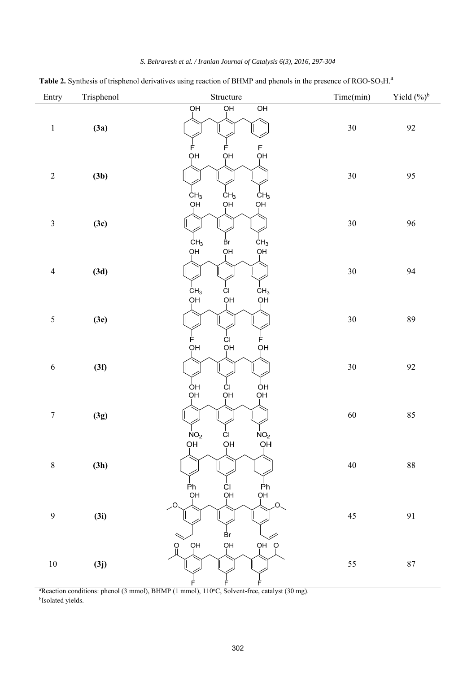| Entry            | Trisphenol | Structure                                                               | Time(min) | Yield $(^{0}\!\!/\!_0)^b$ |
|------------------|------------|-------------------------------------------------------------------------|-----------|---------------------------|
| $\,1$            | (3a)       | $\overline{O}$ H<br>$\overline{O}$ H<br>$\overline{Q}$<br>Ė<br>F<br>F   | 30        | $92\,$                    |
| $\sqrt{2}$       | (3b)       | QН<br>ŌН<br>OH<br>CH <sub>3</sub><br>CH <sub>3</sub><br>CH <sub>3</sub> | $30\,$    | 95                        |
| $\mathfrak{Z}$   | (3c)       | ΟH <sub>.</sub><br>OH<br>QН<br>CH <sub>3</sub><br>₿r<br>CH <sub>3</sub> | $30\,$    | 96                        |
| $\overline{4}$   | (3d)       | QН<br>QН<br>QН<br>ĊI<br>CH <sub>3</sub><br>CH <sub>3</sub>              | $30\,$    | 94                        |
| 5                | (3e)       | QН<br>ОH<br>QН<br>Ė<br>Ė<br>ĊI                                          | $30\,$    | 89                        |
| 6                | (3f)       | OH<br>QH<br>QН<br>$\mathsf{I}$<br>ÒН<br>OH<br>OH<br>ĊI                  | $30\,$    | 92                        |
| $\boldsymbol{7}$ | (3g)       | ОH<br>OH<br>ĊI<br>NO <sub>2</sub><br>NO <sub>2</sub>                    | $60\,$    | 85                        |
| $\,$ $\,$        | (3h)       | OH<br>OH<br>OH<br>Ph<br>ĊI                                              | $40\,$    | $88\,$                    |
| 9                | (3i)       | −<br>Ph<br>PH<br>QH<br>QH<br>$\overline{O}$<br>Br                       | $45\,$    | 91                        |
| $10\,$           | (3j)       | OH<br>QH<br>OH<br>$\Omega$<br>$\Omega$<br>F<br>F<br>E                   | 55        | $87\,$                    |

*S. Behravesh et al. / Iranian Journal of Catalysis 6(3), 2016, 297-304* 

Table 2. Synthesis of trisphenol derivatives using reaction of BHMP and phenols in the presence of RGO-SO<sub>3</sub>H.<sup>a</sup>

<sup>a</sup>Reaction conditions: phenol (3 mmol), BHMP (1 mmol), 110°C, Solvent-free, catalyst (30 mg).<br><sup>bIsolated vields</sup> <sup>b</sup>Isolated yields.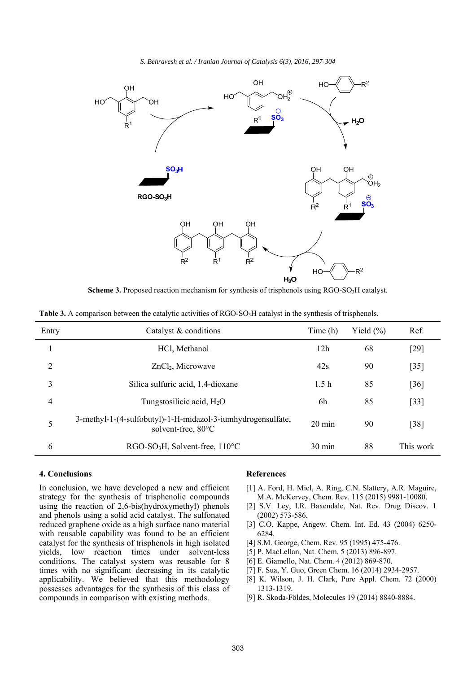*S. Behravesh et al. / Iranian Journal of Catalysis 6(3), 2016, 297-304*



**Scheme 3.** Proposed reaction mechanism for synthesis of trisphenols using RGO-SO<sub>3</sub>H catalyst.

| Entry | Catalyst & conditions                                                             | Time (h)         | Yield $(\% )$ | Ref.      |
|-------|-----------------------------------------------------------------------------------|------------------|---------------|-----------|
|       | HCl, Methanol                                                                     | 12h              | 68            | [29]      |
| 2     | ZnCl <sub>2</sub> , Microwave                                                     | 42s              | 90            | $[35]$    |
| 3     | Silica sulfuric acid, 1,4-dioxane                                                 | 1.5 <sub>h</sub> | 85            | [36]      |
| 4     | Tungstosilicic acid, $H_2O$                                                       | 6h               | 85            | $[33]$    |
| 5     | 3-methyl-1-(4-sulfobutyl)-1-H-midazol-3-iumhydrogensulfate,<br>solvent-free, 80°C | $20 \text{ min}$ | 90            | $[38]$    |
| 6     | $RGO-SO3H$ , Solvent-free, 110°C                                                  | $30 \text{ min}$ | 88            | This work |

**Table 3.** A comparison between the catalytic activities of RGO-SO<sub>3</sub>H catalyst in the synthesis of trisphenols.

## **4. Conclusions**

In conclusion, we have developed a new and efficient strategy for the synthesis of trisphenolic compounds using the reaction of 2,6-bis(hydroxymethyl) phenols and phenols using a solid acid catalyst. The sulfonated reduced graphene oxide as a high surface nano material with reusable capability was found to be an efficient catalyst for the synthesis of trisphenols in high isolated yields, low reaction times under solvent-less conditions. The catalyst system was reusable for 8 times with no significant decreasing in its catalytic applicability. We believed that this methodology possesses advantages for the synthesis of this class of compounds in comparison with existing methods.

## **References**

- [1] A. Ford, H. Miel, A. Ring, C.N. Slattery, A.R. Maguire, M.A. McKervey, Chem. Rev. 115 (2015) 9981-10080.
- [2] S.V. Ley, I.R. Baxendale, Nat. Rev. Drug Discov. 1 (2002) 573-586.
- [3] C.O. Kappe, Angew. Chem. Int. Ed. 43 (2004) 6250-6284.
- [4] S.M. George, Chem. Rev. 95 (1995) 475-476.
- [5] P. MacLellan, Nat. Chem. 5 (2013) 896-897.
- [6] E. Giamello, Nat. Chem. 4 (2012) 869-870.
- [7] F. Sua, Y. Guo, Green Chem. 16 (2014) 2934-2957.
- [8] K. Wilson, J. H. Clark, Pure Appl. Chem. 72 (2000) 1313-1319.
- [9] R. Skoda-Földes, Molecules 19 (2014) 8840-8884.